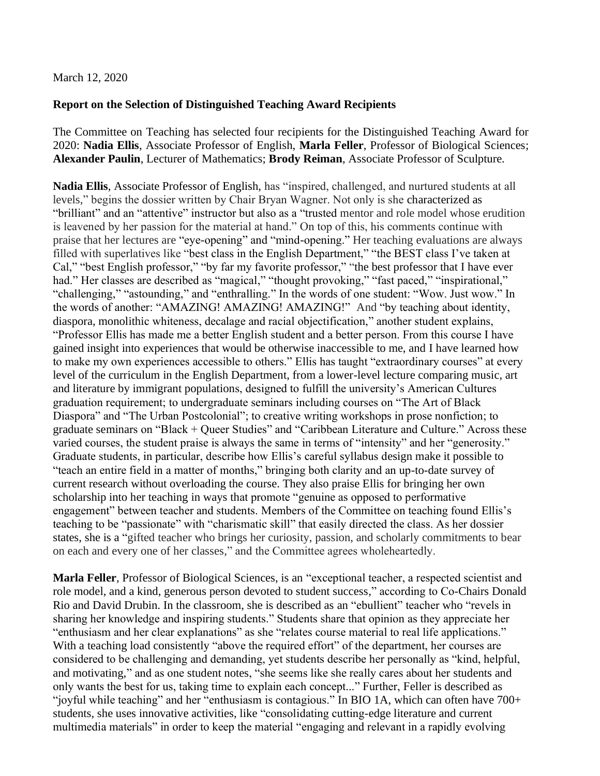## March 12, 2020

## **Report on the Selection of Distinguished Teaching Award Recipients**

The Committee on Teaching has selected four recipients for the Distinguished Teaching Award for 2020: **Nadia Ellis**, Associate Professor of English, **Marla Feller**, Professor of Biological Sciences; **Alexander Paulin**, Lecturer of Mathematics; **Brody Reiman**, Associate Professor of Sculpture*.*

**Nadia Ellis**, Associate Professor of English, has "inspired, challenged, and nurtured students at all levels," begins the dossier written by Chair Bryan Wagner. Not only is she characterized as "brilliant" and an "attentive" instructor but also as a "trusted mentor and role model whose erudition is leavened by her passion for the material at hand." On top of this, his comments continue with praise that her lectures are "eye-opening" and "mind-opening." Her teaching evaluations are always filled with superlatives like "best class in the English Department," "the BEST class I've taken at Cal," "best English professor," "by far my favorite professor," "the best professor that I have ever had." Her classes are described as "magical," "thought provoking," "fast paced," "inspirational," "challenging," "astounding," and "enthralling." In the words of one student: "Wow. Just wow." In the words of another: "AMAZING! AMAZING! AMAZING!" And "by teaching about identity, diaspora, monolithic whiteness, decalage and racial objectification," another student explains, "Professor Ellis has made me a better English student and a better person. From this course I have gained insight into experiences that would be otherwise inaccessible to me, and I have learned how to make my own experiences accessible to others." Ellis has taught "extraordinary courses" at every level of the curriculum in the English Department, from a lower-level lecture comparing music, art and literature by immigrant populations, designed to fulfill the university's American Cultures graduation requirement; to undergraduate seminars including courses on "The Art of Black Diaspora" and "The Urban Postcolonial"; to creative writing workshops in prose nonfiction; to graduate seminars on "Black + Queer Studies" and "Caribbean Literature and Culture." Across these varied courses, the student praise is always the same in terms of "intensity" and her "generosity." Graduate students, in particular, describe how Ellis's careful syllabus design make it possible to "teach an entire field in a matter of months," bringing both clarity and an up-to-date survey of current research without overloading the course. They also praise Ellis for bringing her own scholarship into her teaching in ways that promote "genuine as opposed to performative engagement" between teacher and students. Members of the Committee on teaching found Ellis's teaching to be "passionate" with "charismatic skill" that easily directed the class. As her dossier states, she is a "gifted teacher who brings her curiosity, passion, and scholarly commitments to bear on each and every one of her classes," and the Committee agrees wholeheartedly.

**Marla Feller**, Professor of Biological Sciences, is an "exceptional teacher, a respected scientist and role model, and a kind, generous person devoted to student success," according to Co-Chairs Donald Rio and David Drubin. In the classroom, she is described as an "ebullient" teacher who "revels in sharing her knowledge and inspiring students." Students share that opinion as they appreciate her "enthusiasm and her clear explanations" as she "relates course material to real life applications." With a teaching load consistently "above the required effort" of the department, her courses are considered to be challenging and demanding, yet students describe her personally as "kind, helpful, and motivating," and as one student notes, "she seems like she really cares about her students and only wants the best for us, taking time to explain each concept..." Further, Feller is described as "joyful while teaching" and her "enthusiasm is contagious." In BIO 1A, which can often have 700+ students, she uses innovative activities, like "consolidating cutting-edge literature and current multimedia materials" in order to keep the material "engaging and relevant in a rapidly evolving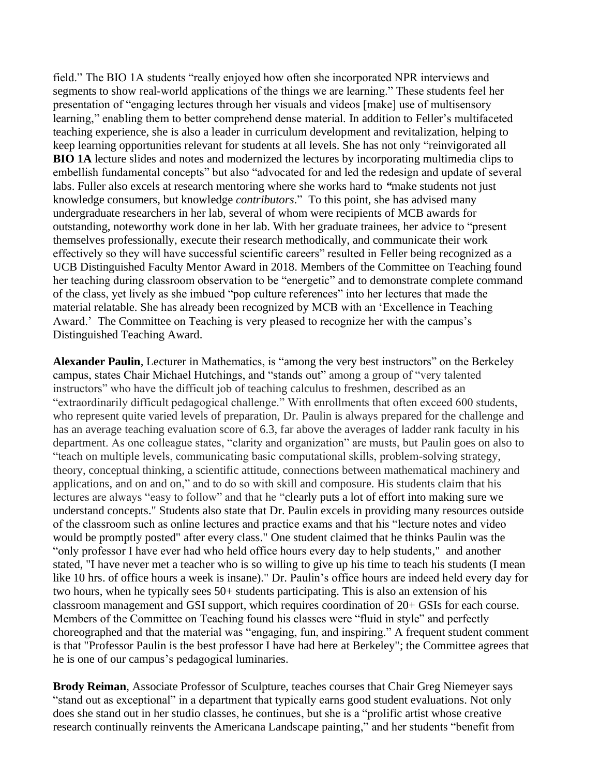field." The BIO 1A students "really enjoyed how often she incorporated NPR interviews and segments to show real-world applications of the things we are learning." These students feel her presentation of "engaging lectures through her visuals and videos [make] use of multisensory learning," enabling them to better comprehend dense material. In addition to Feller's multifaceted teaching experience, she is also a leader in curriculum development and revitalization, helping to keep learning opportunities relevant for students at all levels. She has not only "reinvigorated all **BIO 1A** lecture slides and notes and modernized the lectures by incorporating multimedia clips to embellish fundamental concepts" but also "advocated for and led the redesign and update of several labs. Fuller also excels at research mentoring where she works hard to *"*make students not just knowledge consumers, but knowledge *contributors*." To this point, she has advised many undergraduate researchers in her lab, several of whom were recipients of MCB awards for outstanding, noteworthy work done in her lab. With her graduate trainees, her advice to "present themselves professionally, execute their research methodically, and communicate their work effectively so they will have successful scientific careers" resulted in Feller being recognized as a UCB Distinguished Faculty Mentor Award in 2018. Members of the Committee on Teaching found her teaching during classroom observation to be "energetic" and to demonstrate complete command of the class, yet lively as she imbued "pop culture references" into her lectures that made the material relatable. She has already been recognized by MCB with an 'Excellence in Teaching Award.' The Committee on Teaching is very pleased to recognize her with the campus's Distinguished Teaching Award.

**Alexander Paulin**, Lecturer in Mathematics, is "among the very best instructors" on the Berkeley campus, states Chair Michael Hutchings, and "stands out" among a group of "very talented instructors" who have the difficult job of teaching calculus to freshmen, described as an "extraordinarily difficult pedagogical challenge." With enrollments that often exceed 600 students, who represent quite varied levels of preparation, Dr. Paulin is always prepared for the challenge and has an average teaching evaluation score of 6.3, far above the averages of ladder rank faculty in his department. As one colleague states, "clarity and organization" are musts, but Paulin goes on also to "teach on multiple levels, communicating basic computational skills, problem-solving strategy, theory, conceptual thinking, a scientific attitude, connections between mathematical machinery and applications, and on and on," and to do so with skill and composure. His students claim that his lectures are always "easy to follow" and that he "clearly puts a lot of effort into making sure we understand concepts." Students also state that Dr. Paulin excels in providing many resources outside of the classroom such as online lectures and practice exams and that his "lecture notes and video would be promptly posted" after every class." One student claimed that he thinks Paulin was the "only professor I have ever had who held office hours every day to help students," and another stated, "I have never met a teacher who is so willing to give up his time to teach his students (I mean like 10 hrs. of office hours a week is insane)." Dr. Paulin's office hours are indeed held every day for two hours, when he typically sees 50+ students participating. This is also an extension of his classroom management and GSI support, which requires coordination of 20+ GSIs for each course. Members of the Committee on Teaching found his classes were "fluid in style" and perfectly choreographed and that the material was "engaging, fun, and inspiring." A frequent student comment is that "Professor Paulin is the best professor I have had here at Berkeley"; the Committee agrees that he is one of our campus's pedagogical luminaries.

**Brody Reiman**, Associate Professor of Sculpture, teaches courses that Chair Greg Niemeyer says "stand out as exceptional" in a department that typically earns good student evaluations. Not only does she stand out in her studio classes, he continues, but she is a "prolific artist whose creative research continually reinvents the Americana Landscape painting," and her students "benefit from